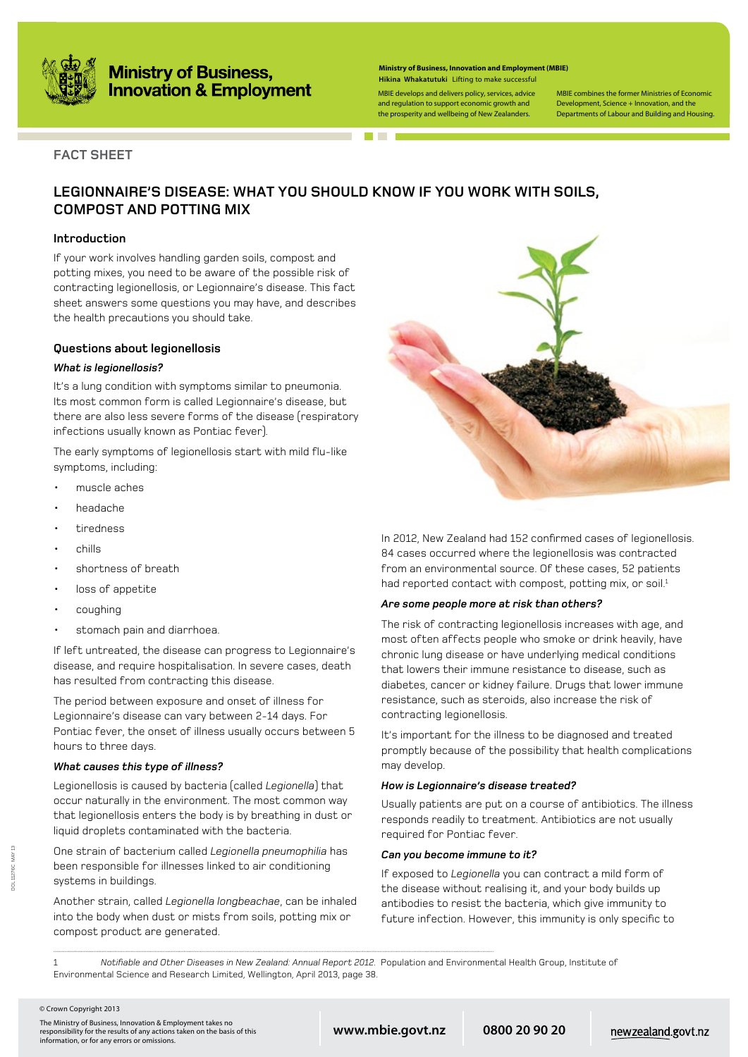

# **Ministry of Business,<br>Innovation & Employment**

| <b>Ministry of Business, Innovation and Employment (MBIE)</b> |
|---------------------------------------------------------------|
| Hikina Whakatutuki Lifting to make successful                 |

MBIE develops and delivers policy, services, advice and regulation to support economic growth and the prosperity and wellbeing of New Zealanders.

MBIE combines the former Ministries of Economic Development, Science + Innovation, and the Departments of Labour and Building and Housing.

### **FACT SHEET**

### **LEGIONNAIRE'S DISEASE: What you should know if you work with soils, compost and potting mix**

#### **Introduction**

If your work involves handling garden soils, compost and potting mixes, you need to be aware of the possible risk of contracting legionellosis, or Legionnaire's disease. This fact sheet answers some questions you may have, and describes the health precautions you should take.

#### **Questions about legionellosis**

#### *What is legionellosis?*

It's a lung condition with symptoms similar to pneumonia. Its most common form is called Legionnaire's disease, but there are also less severe forms of the disease (respiratory infections usually known as Pontiac fever).

The early symptoms of legionellosis start with mild flu-like symptoms, including:

- muscle aches
- headache
- tiredness
- chills
- shortness of breath
- loss of appetite
- coughing
- stomach pain and diarrhoea.

If left untreated, the disease can progress to Legionnaire's disease, and require hospitalisation. In severe cases, death has resulted from contracting this disease.

The period between exposure and onset of illness for Legionnaire's disease can vary between 2-14 days. For Pontiac fever, the onset of illness usually occurs between 5 hours to three days.

#### *What causes this type of illness?*

Legionellosis is caused by bacteria (called *Legionella*) that occur naturally in the environment. The most common way that legionellosis enters the body is by breathing in dust or liquid droplets contaminated with the bacteria.

One strain of bacterium called *Legionella pneumophilia* has been responsible for illnesses linked to air conditioning systems in buildings.

Another strain, called *Legionella longbeachae*, can be inhaled into the body when dust or mists from soils, potting mix or compost product are generated.



In 2012, New Zealand had 152 confirmed cases of legionellosis. 84 cases occurred where the legionellosis was contracted from an environmental source. Of these cases, 52 patients had reported contact with compost, potting mix, or soil.<sup>1</sup>

#### *Are some people more at risk than others?*

The risk of contracting legionellosis increases with age, and most often affects people who smoke or drink heavily, have chronic lung disease or have underlying medical conditions that lowers their immune resistance to disease, such as diabetes, cancer or kidney failure. Drugs that lower immune resistance, such as steroids, also increase the risk of contracting legionellosis.

It's important for the illness to be diagnosed and treated promptly because of the possibility that health complications may develop.

#### *How is Legionnaire's disease treated?*

Usually patients are put on a course of antibiotics. The illness responds readily to treatment. Antibiotics are not usually required for Pontiac fever.

#### *Can you become immune to it?*

If exposed to *Legionella* you can contract a mild form of the disease without realising it, and your body builds up antibodies to resist the bacteria, which give immunity to future infection. However, this immunity is only specific to

1 *Notifiable and Other Diseases in New Zealand: Annual Report 2012.* Population and Environmental Health Group, Institute of Environmental Science and Research Limited, Wellington, April 2013, page 38.

**www.mbie.govt.nz 0800 20 90 20**